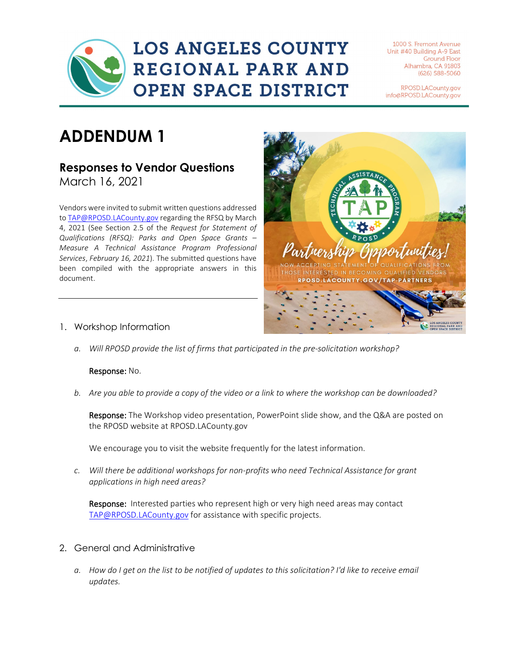# **LOS ANGELES COUNTY** REGIONAL PARK AND **OPEN SPACE DISTRICT**

1000 S. Fremont Avenue Unit #40 Building A-9 East **Ground Floor** Alhambra, CA 91803  $(626)$  588-5060

RPOSD.LACounty.gov info@RPOSD.LACounty.gov

## **ADDENDUM 1**

### **Responses to Vendor Questions**

March 16, 2021

Vendors were invited to submit written questions addressed t[o TAP@RPOSD.LACounty.gov](mailto:TAP@RPOSD.LACounty.gov) regarding the RFSQ by March 4, 2021 (See Section 2.5 of the *Request for Statement of Qualifications (RFSQ): Parks and Open Space Grants – Measure A Technical Assistance Program Professional Services*, *February 16, 2021*). The submitted questions have been compiled with the appropriate answers in this document.



- 1. Workshop Information
	- *a. Will RPOSD provide the list of firms that participated in the pre-solicitation workshop?*

### Response: No.

*b. Are you able to provide a copy of the video or a link to where the workshop can be downloaded?* 

Response: The Workshop video presentation, PowerPoint slide show, and the Q&A are posted on the RPOSD website at RPOSD.LACounty.gov

We encourage you to visit the website frequently for the latest information.

*c. Will there be additional workshops for non-profits who need Technical Assistance for grant applications in high need areas?*

Response: Interested parties who represent high or very high need areas may contact [TAP@RPOSD.LACounty.gov](mailto:TAP@RPOSD.LACounty.gov) for assistance with specific projects.

- 2. General and Administrative
	- *a. How do I get on the list to be notified of updates to this solicitation? I'd like to receive email updates.*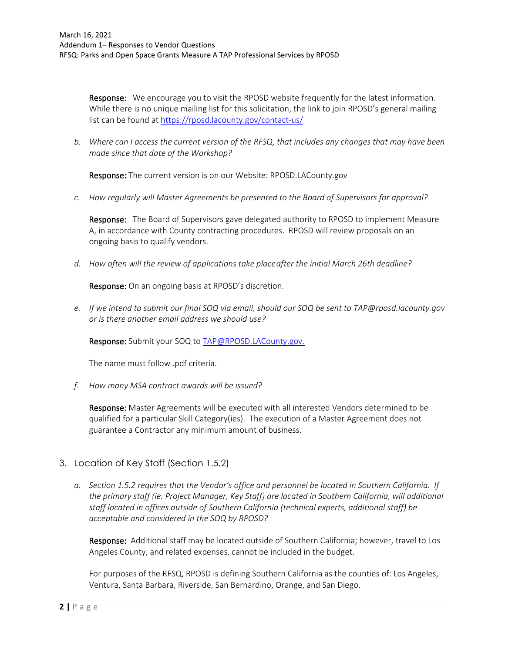**Response:** We encourage you to visit the RPOSD website frequently for the latest information. While there is no unique mailing list for this solicitation, the link to join RPOSD's general mailing list can be found at<https://rposd.lacounty.gov/contact-us/>

*b. Where can I access the current version of the RFSQ, that includes any changes that may have been made since that date of the Workshop?*

Response: The current version is on our Website: RPOSD.LACounty.gov

*c. How regularly will Master Agreements be presented to the Board of Supervisors for approval?*

**Response:** The Board of Supervisors gave delegated authority to RPOSD to implement Measure A, in accordance with County contracting procedures. RPOSD will review proposals on an ongoing basis to qualify vendors.

*d. How often will the review of applications take place after the initial March 26th deadline?*

Response: On an ongoing basis at RPOSD's discretion.

*e. If we intend to submit our final SOQ via email, should our SOQ be sent to [TAP@rposd.lacounty.gov](mailto:TAP@rposd.lacounty.gov) or is there another email address we should use?*

Response: Submit your SOQ to [TAP@RPOSD.LACounty.gov.](mailto:TAP@RPOSD.LACounty.gov)

The name must follow .pdf criteria.

*f. How many MSA contract awards will be issued?*

Response: Master Agreements will be executed with all interested Vendors determined to be qualified for a particular Skill Category(ies). The execution of a Master Agreement does not guarantee a Contractor any minimum amount of business.

- 3. Location of Key Staff (Section 1.5.2)
	- *a. Section 1.5.2 requires that the Vendor's office and personnel be located in Southern California. If the primary staff (ie. Project Manager, Key Staff) are located in Southern California, will additional staff located in offices outside of Southern California (technical experts, additional staff) be acceptable and considered in the SOQ by RPOSD?*

Response: Additional staff may be located outside of Southern California; however, travel to Los Angeles County, and related expenses, cannot be included in the budget.

For purposes of the RFSQ, RPOSD is defining Southern California as the counties of: Los Angeles, Ventura, Santa Barbara, Riverside, San Bernardino, Orange, and San Diego.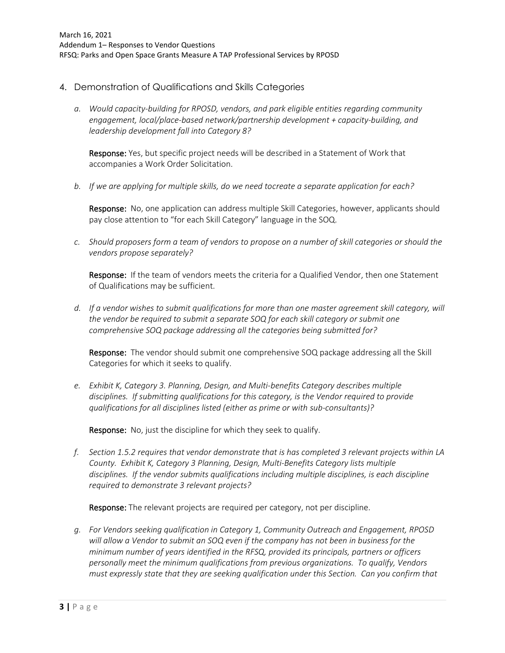- 4. Demonstration of Qualifications and Skills Categories
	- *a. Would capacity-building for RPOSD, vendors, and park eligible entities regarding community engagement, local/place-based network/partnership development + capacity-building, and leadership development fall into Category 8?*

Response: Yes, but specific project needs will be described in a Statement of Work that accompanies a Work Order Solicitation.

*b. If we are applying for multiple skills, do we need tocreate a separate application for each?*

Response: No, one application can address multiple Skill Categories, however, applicants should pay close attention to "for each Skill Category" language in the SOQ.

*c. Should proposers form a team of vendors to propose on a number of skill categories or should the vendors propose separately?*

Response: If the team of vendors meets the criteria for a Qualified Vendor, then one Statement of Qualifications may be sufficient.

*d. If a vendor wishes to submit qualifications for more than one master agreement skill category, will the vendor be required to submit a separate SOQ for each skill category or submit one comprehensive SOQ package addressing all the categories being submitted for?*

Response: The vendor should submit one comprehensive SOQ package addressing all the Skill Categories for which it seeks to qualify.

*e. Exhibit K, Category 3. Planning, Design, and Multi-benefits Category describes multiple disciplines. If submitting qualifications for this category, is the Vendor required to provide qualifications for all disciplines listed (either as prime or with sub-consultants)?*

Response: No, just the discipline for which they seek to qualify.

*f. Section 1.5.2 requires that vendor demonstrate that is has completed 3 relevant projects within LA County. Exhibit K, Category 3 Planning, Design, Multi-Benefits Category lists multiple disciplines. If the vendor submits qualifications including multiple disciplines, is each discipline required to demonstrate 3 relevant projects?*

Response: The relevant projects are required per category, not per discipline.

*g. For Vendors seeking qualification in Category 1, Community Outreach and Engagement, RPOSD will allow a Vendor to submit an SOQ even if the company has not been in business for the minimum number of years identified in the RFSQ, provided its principals, partners or officers personally meet the minimum qualifications from previous organizations. To qualify, Vendors must expressly state that they are seeking qualification under this Section. Can you confirm that*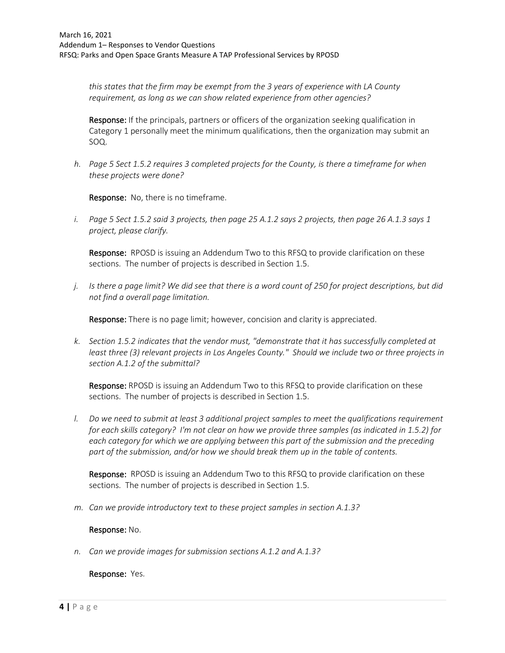*this states that the firm may be exempt from the 3 years of experience with LA County requirement, as long as we can show related experience from other agencies?*

Response: If the principals, partners or officers of the organization seeking qualification in Category 1 personally meet the minimum qualifications, then the organization may submit an SOQ.

*h. Page 5 Sect 1.5.2 requires 3 completed projects for the County, is there a timeframe for when these projects were done?*

Response: No, there is no timeframe.

*i. Page 5 Sect 1.5.2 said 3 projects, then page 25 A.1.2 says 2 projects, then page 26 A.1.3 says 1 project, please clarify.*

**Response:** RPOSD is issuing an Addendum Two to this RFSQ to provide clarification on these sections. The number of projects is described in Section 1.5.

*j. Is there a page limit? We did see that there is a word count of 250 for project descriptions, but did not find a overall page limitation.*

Response: There is no page limit; however, concision and clarity is appreciated.

*k. Section 1.5.2 indicates that the vendor must, "demonstrate that it has successfully completed at least three (3) relevant projects in Los Angeles County." Should we include two or three projects in section A.1.2 of the submittal?*

Response: RPOSD is issuing an Addendum Two to this RFSQ to provide clarification on these sections. The number of projects is described in Section 1.5.

*l. Do we need to submit at least 3 additional project samples to meet the qualifications requirement for each skills category? I'm not clear on how we provide three samples (as indicated in 1.5.2) for each category for which we are applying between this part of the submission and the preceding part of the submission, and/or how we should break them up in the table of contents.* 

**Response:** RPOSD is issuing an Addendum Two to this RFSQ to provide clarification on these sections. The number of projects is described in Section 1.5.

*m. Can we provide introductory text to these project samples in section A.1.3?*

#### Response: No.

*n. Can we provide images for submission sections A.1.2 and A.1.3?*

Response: Yes.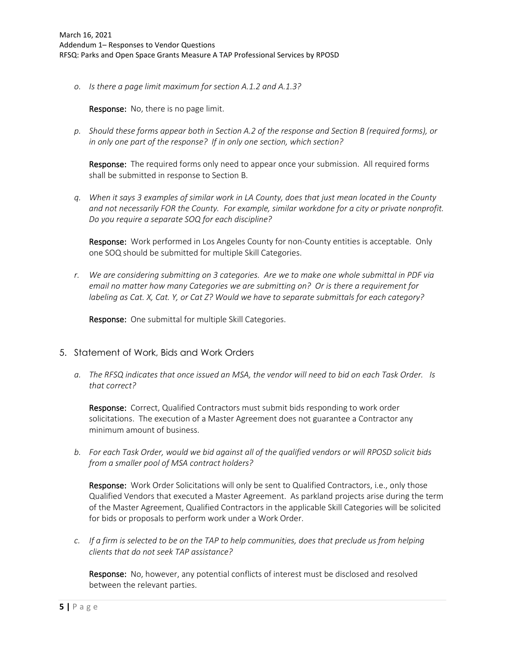*o. Is there a page limit maximum for section A.1.2 and A.1.3?*

Response: No, there is no page limit.

*p. Should these forms appear both in Section A.2 of the response and Section B (required forms), or in only one part of the response? If in only one section, which section?*

Response: The required forms only need to appear once your submission. All required forms shall be submitted in response to Section B.

*q. When it says 3 examples of similar work in LA County, does that just mean located in the County and not necessarily FOR the County. For example, similar workdone for a city or private nonprofit. Do you require a separate SOQ for each discipline?*

Response: Work performed in Los Angeles County for non-County entities is acceptable. Only one SOQ should be submitted for multiple Skill Categories.

*r. We are considering submitting on 3 categories. Are we to make one whole submittal in PDF via email no matter how many Categories we are submitting on? Or is there a requirement for labeling as Cat. X, Cat. Y, or Cat Z? Would we have to separate submittals for each category?*

Response: One submittal for multiple Skill Categories.

- 5. Statement of Work, Bids and Work Orders
	- *a. The RFSQ indicates that once issued an MSA, the vendor will need to bid on each Task Order. Is that correct?*

Response: Correct, Qualified Contractors must submit bids responding to work order solicitations. The execution of a Master Agreement does not guarantee a Contractor any minimum amount of business.

*b. For each Task Order, would we bid against all of the qualified vendors or will RPOSD solicit bids from a smaller pool of MSA contract holders?*

Response: Work Order Solicitations will only be sent to Qualified Contractors, i.e., only those Qualified Vendors that executed a Master Agreement. As parkland projects arise during the term of the Master Agreement, Qualified Contractors in the applicable Skill Categories will be solicited for bids or proposals to perform work under a Work Order.

*c. If a firm is selected to be on the TAP to help communities, does that preclude us from helping clients that do not seek TAP assistance?*

Response: No, however, any potential conflicts of interest must be disclosed and resolved between the relevant parties.